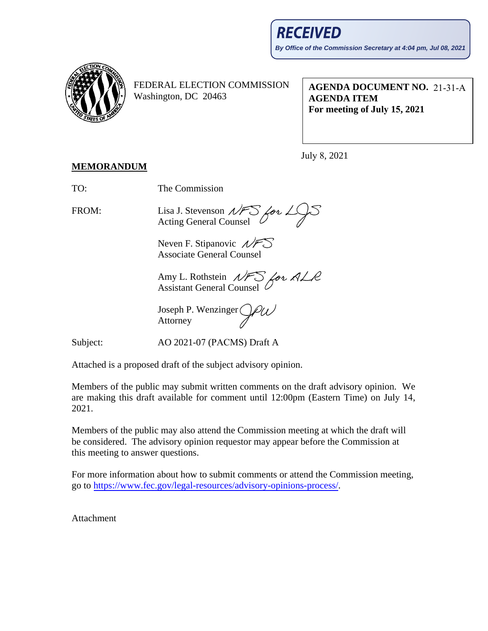

FEDERAL ELECTION COMMISSION Washington, DC 20463

**AGENDA DOCUMENT NO.**  21-31-A **AGENDA ITEM For meeting of July 15, 2021**

July 8, 2021

## **MEMORANDUM**

TO: The Commission

FROM: Lisa J. Stevenson Acting General Counsel

> Neven F. Stipanovic  $\mathcal{N}$ F Associate General Counsel

Amy L. Rothstein Assistant General Counsel

Joseph P. Wenzinger Attorney

Subject: AO 2021-07 (PACMS) Draft A

Attached is a proposed draft of the subject advisory opinion.

Members of the public may submit written comments on the draft advisory opinion. We are making this draft available for comment until 12:00pm (Eastern Time) on July 14, 2021.

Members of the public may also attend the Commission meeting at which the draft will be considered. The advisory opinion requestor may appear before the Commission at this meeting to answer questions.

For more information about how to submit comments or attend the Commission meeting, go to [https://www.fec.gov/legal-resources/advisory-opinions-process/.](https://www.fec.gov/legal-resources/advisory-opinions-process/)

Attachment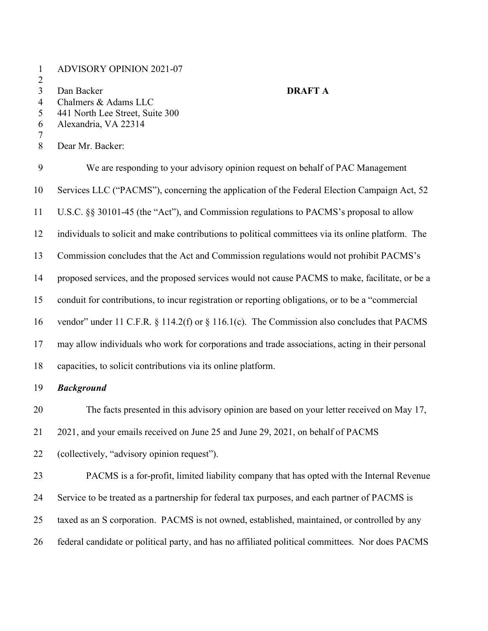- ADVISORY OPINION 2021-07
- 

## Dan Backer **DRAFT A**

- Chalmers & Adams LLC
- 441 North Lee Street, Suite 300
- Alexandria, VA 22314
- 
- Dear Mr. Backer:

 We are responding to your advisory opinion request on behalf of PAC Management Services LLC ("PACMS"), concerning the application of the Federal Election Campaign Act, 52 U.S.C. §§ 30101-45 (the "Act"), and Commission regulations to PACMS's proposal to allow individuals to solicit and make contributions to political committees via its online platform. The Commission concludes that the Act and Commission regulations would not prohibit PACMS's proposed services, and the proposed services would not cause PACMS to make, facilitate, or be a conduit for contributions, to incur registration or reporting obligations, or to be a "commercial vendor" under 11 C.F.R. § 114.2(f) or § 116.1(c). The Commission also concludes that PACMS may allow individuals who work for corporations and trade associations, acting in their personal capacities, to solicit contributions via its online platform. *Background* The facts presented in this advisory opinion are based on your letter received on May 17,

2021, and your emails received on June 25 and June 29, 2021, on behalf of PACMS

(collectively, "advisory opinion request").

 PACMS is a for-profit, limited liability company that has opted with the Internal Revenue Service to be treated as a partnership for federal tax purposes, and each partner of PACMS is taxed as an S corporation. PACMS is not owned, established, maintained, or controlled by any federal candidate or political party, and has no affiliated political committees. Nor does PACMS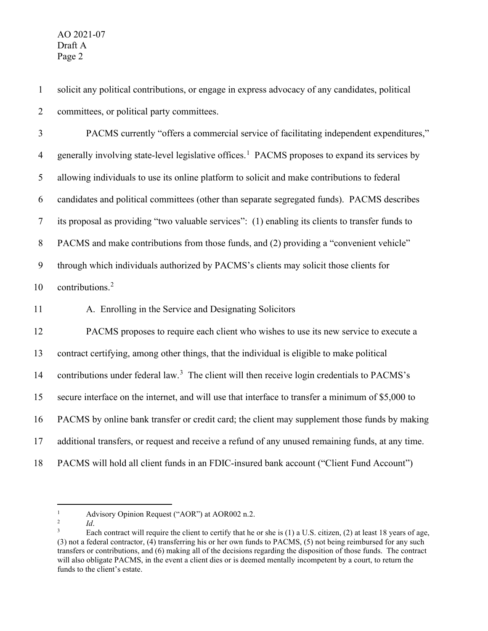solicit any political contributions, or engage in express advocacy of any candidates, political committees, or political party committees.

 PACMS currently "offers a commercial service of facilitating independent expenditures," generally involving state-level legislative offices.<sup>1</sup> PACMS proposes to expand its services by allowing individuals to use its online platform to solicit and make contributions to federal candidates and political committees (other than separate segregated funds). PACMS describes its proposal as providing "two valuable services": (1) enabling its clients to transfer funds to PACMS and make contributions from those funds, and (2) providing a "convenient vehicle" through which individuals authorized by PACMS's clients may solicit those clients for 10 contributions.<sup>[2](#page-2-1)</sup> A. Enrolling in the Service and Designating Solicitors

 PACMS proposes to require each client who wishes to use its new service to execute a contract certifying, among other things, that the individual is eligible to make political 14 contributions under federal law.<sup>[3](#page-2-2)</sup> The client will then receive login credentials to PACMS's secure interface on the internet, and will use that interface to transfer a minimum of \$5,000 to PACMS by online bank transfer or credit card; the client may supplement those funds by making additional transfers, or request and receive a refund of any unused remaining funds, at any time. PACMS will hold all client funds in an FDIC-insured bank account ("Client Fund Account")

*Id*.

<span id="page-2-0"></span><sup>&</sup>lt;sup>1</sup> Advisory Opinion Request ("AOR") at AOR002 n.2.<br> $\frac{1}{4}$ 

<span id="page-2-1"></span>

<span id="page-2-2"></span>Each contract will require the client to certify that he or she is  $(1)$  a U.S. citizen,  $(2)$  at least 18 years of age, (3) not a federal contractor, (4) transferring his or her own funds to PACMS, (5) not being reimbursed for any such transfers or contributions, and (6) making all of the decisions regarding the disposition of those funds. The contract will also obligate PACMS, in the event a client dies or is deemed mentally incompetent by a court, to return the funds to the client's estate.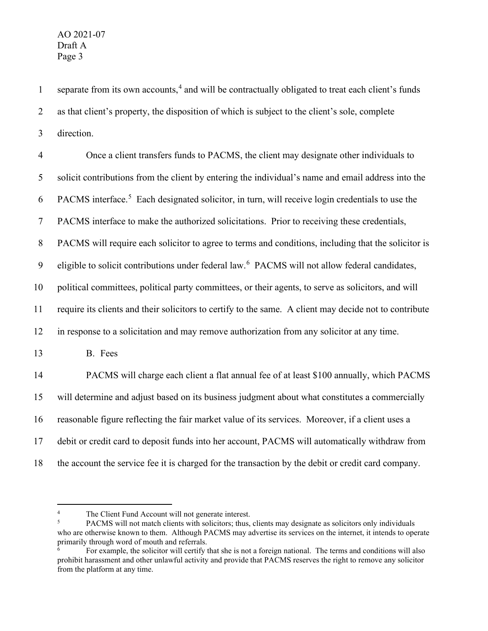1 separate from its own accounts,<sup>[4](#page-3-0)</sup> and will be contractually obligated to treat each client's funds 2 as that client's property, the disposition of which is subject to the client's sole, complete 3 direction.

 Once a client transfers funds to PACMS, the client may designate other individuals to solicit contributions from the client by entering the individual's name and email address into the 6 PACMS interface.<sup>[5](#page-3-1)</sup> Each designated solicitor, in turn, will receive login credentials to use the PACMS interface to make the authorized solicitations. Prior to receiving these credentials, PACMS will require each solicitor to agree to terms and conditions, including that the solicitor is 9 eligible to solicit contributions under federal law.<sup>[6](#page-3-2)</sup> PACMS will not allow federal candidates, political committees, political party committees, or their agents, to serve as solicitors, and will require its clients and their solicitors to certify to the same. A client may decide not to contribute in response to a solicitation and may remove authorization from any solicitor at any time. 13 B. Fees PACMS will charge each client a flat annual fee of at least \$100 annually, which PACMS will determine and adjust based on its business judgment about what constitutes a commercially reasonable figure reflecting the fair market value of its services. Moreover, if a client uses a debit or credit card to deposit funds into her account, PACMS will automatically withdraw from the account the service fee it is charged for the transaction by the debit or credit card company.

<span id="page-3-1"></span><span id="page-3-0"></span><sup>&</sup>lt;sup>4</sup> The Client Fund Account will not generate interest.<br><sup>5</sup> PACMS will not match clients with solicitors; thus, clients may designate as solicitors only individuals who are otherwise known to them. Although PACMS may advertise its services on the internet, it intends to operate primarily through word of mouth and referrals.

<span id="page-3-2"></span><sup>6</sup> For example, the solicitor will certify that she is not a foreign national. The terms and conditions will also prohibit harassment and other unlawful activity and provide that PACMS reserves the right to remove any solicitor from the platform at any time.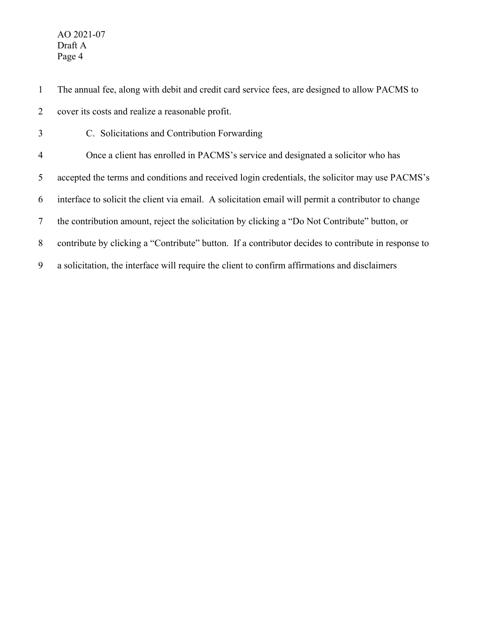- The annual fee, along with debit and credit card service fees, are designed to allow PACMS to cover its costs and realize a reasonable profit.
- C. Solicitations and Contribution Forwarding Once a client has enrolled in PACMS's service and designated a solicitor who has accepted the terms and conditions and received login credentials, the solicitor may use PACMS's interface to solicit the client via email. A solicitation email will permit a contributor to change the contribution amount, reject the solicitation by clicking a "Do Not Contribute" button, or contribute by clicking a "Contribute" button. If a contributor decides to contribute in response to a solicitation, the interface will require the client to confirm affirmations and disclaimers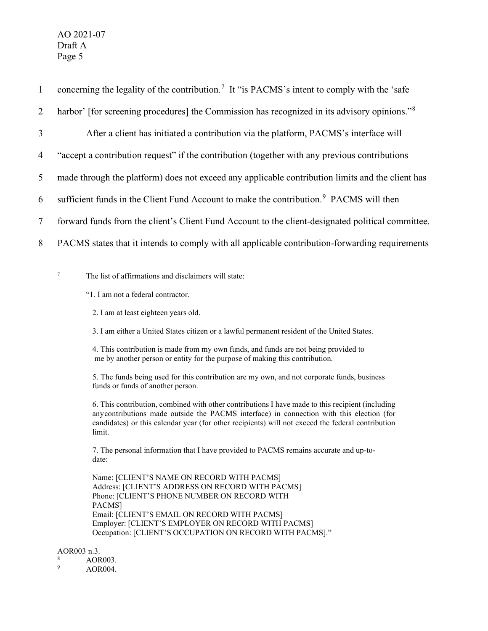| $\mathbf{1}$ | concerning the legality of the contribution. <sup>7</sup> It "is PACMS's intent to comply with the 'safe' |
|--------------|-----------------------------------------------------------------------------------------------------------|
| 2            | harbor' [for screening procedures] the Commission has recognized in its advisory opinions." <sup>8</sup>  |
| 3            | After a client has initiated a contribution via the platform, PACMS's interface will                      |
| 4            | "accept a contribution request" if the contribution (together with any previous contributions             |
| 5            | made through the platform) does not exceed any applicable contribution limits and the client has          |
| 6            | sufficient funds in the Client Fund Account to make the contribution. <sup>9</sup> PACMS will then        |
| 7            | forward funds from the client's Client Fund Account to the client-designated political committee.         |
| 8            | PACMS states that it intends to comply with all applicable contribution-forwarding requirements           |

<span id="page-5-0"></span><sup>7</sup> The list of affirmations and disclaimers will state:

"1. I am not a federal contractor.

- 2. I am at least eighteen years old.
- 3. I am either a United States citizen or a lawful permanent resident of the United States.

4. This contribution is made from my own funds, and funds are not being provided to me by another person or entity for the purpose of making this contribution.

5. The funds being used for this contribution are my own, and not corporate funds, business funds or funds of another person.

6. This contribution, combined with other contributions I have made to this recipient (including anycontributions made outside the PACMS interface) in connection with this election (for candidates) or this calendar year (for other recipients) will not exceed the federal contribution limit.

7. The personal information that I have provided to PACMS remains accurate and up-todate:

Name: [CLIENT'S NAME ON RECORD WITH PACMS] Address: [CLIENT'S ADDRESS ON RECORD WITH PACMS] Phone: [CLIENT'S PHONE NUMBER ON RECORD WITH PACMS] Email: [CLIENT'S EMAIL ON RECORD WITH PACMS] Employer: [CLIENT'S EMPLOYER ON RECORD WITH PACMS] Occupation: [CLIENT'S OCCUPATION ON RECORD WITH PACMS]."

AOR003 n.3.

- <span id="page-5-1"></span> $\frac{8}{9}$  AOR003.
- <span id="page-5-2"></span>AOR004.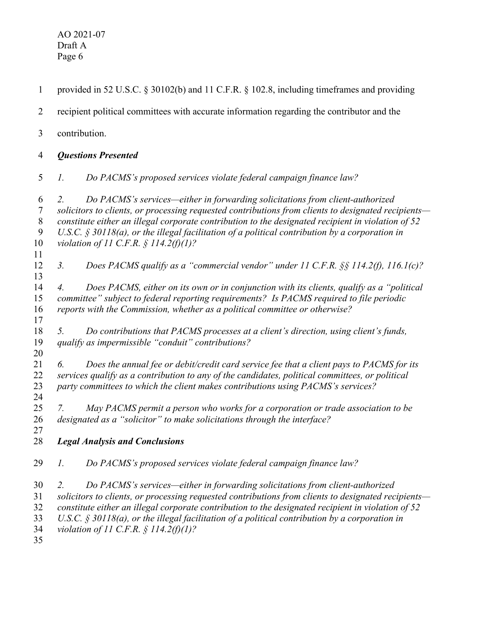| $\mathbf{1}$                                   | provided in 52 U.S.C. § 30102(b) and 11 C.F.R. § 102.8, including timeframes and providing                                                                                                                                                                                                                                                                                                                                                                 |
|------------------------------------------------|------------------------------------------------------------------------------------------------------------------------------------------------------------------------------------------------------------------------------------------------------------------------------------------------------------------------------------------------------------------------------------------------------------------------------------------------------------|
| 2                                              | recipient political committees with accurate information regarding the contributor and the                                                                                                                                                                                                                                                                                                                                                                 |
| 3                                              | contribution.                                                                                                                                                                                                                                                                                                                                                                                                                                              |
| 4                                              | <b>Questions Presented</b>                                                                                                                                                                                                                                                                                                                                                                                                                                 |
| 5                                              | Do PACMS's proposed services violate federal campaign finance law?<br>1.                                                                                                                                                                                                                                                                                                                                                                                   |
| 6<br>$\tau$<br>$8\phantom{1}$<br>9<br>10<br>11 | Do PACMS's services—either in forwarding solicitations from client-authorized<br>2.<br>solicitors to clients, or processing requested contributions from clients to designated recipients-<br>constitute either an illegal corporate contribution to the designated recipient in violation of 52<br>U.S.C. $\S$ 30118(a), or the illegal facilitation of a political contribution by a corporation in<br>violation of 11 C.F.R. $\frac{1}{2}$ 114.2(f)(1)? |
| 12<br>13                                       | Does PACMS qualify as a "commercial vendor" under 11 C.F.R. $\S$ 114.2(f), 116.1(c)?<br>3.                                                                                                                                                                                                                                                                                                                                                                 |
| 14<br>15<br>16                                 | Does PACMS, either on its own or in conjunction with its clients, qualify as a "political<br>4.<br>committee" subject to federal reporting requirements? Is PACMS required to file periodic<br>reports with the Commission, whether as a political committee or otherwise?                                                                                                                                                                                 |
| 17<br>18<br>19<br>20                           | Do contributions that PACMS processes at a client's direction, using client's funds,<br>5.<br>qualify as impermissible "conduit" contributions?                                                                                                                                                                                                                                                                                                            |
| 21<br>22<br>23<br>24                           | Does the annual fee or debit/credit card service fee that a client pays to PACMS for its<br>6.<br>services qualify as a contribution to any of the candidates, political committees, or political<br>party committees to which the client makes contributions using PACMS's services?                                                                                                                                                                      |
| 25<br>26<br>27                                 | May PACMS permit a person who works for a corporation or trade association to be<br>7.<br>designated as a "solicitor" to make solicitations through the interface?                                                                                                                                                                                                                                                                                         |
| 28                                             | <b>Legal Analysis and Conclusions</b>                                                                                                                                                                                                                                                                                                                                                                                                                      |
| 29                                             | Do PACMS's proposed services violate federal campaign finance law?<br>1.                                                                                                                                                                                                                                                                                                                                                                                   |
| 30<br>31<br>32<br>33<br>34<br>35               | Do PACMS's services—either in forwarding solicitations from client-authorized<br>2.<br>solicitors to clients, or processing requested contributions from clients to designated recipients-<br>constitute either an illegal corporate contribution to the designated recipient in violation of 52<br>U.S.C. $\S$ 30118(a), or the illegal facilitation of a political contribution by a corporation in<br>violation of 11 C.F.R. $\frac{1}{2}$ 114.2(f)(1)? |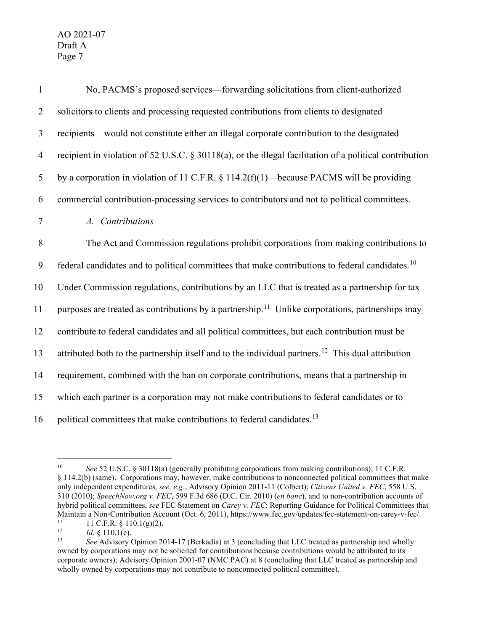| $\mathbf{1}$   | No, PACMS's proposed services—forwarding solicitations from client-authorized                                 |
|----------------|---------------------------------------------------------------------------------------------------------------|
| $\overline{2}$ | solicitors to clients and processing requested contributions from clients to designated                       |
| $\mathfrak{Z}$ | recipients—would not constitute either an illegal corporate contribution to the designated                    |
| $\overline{4}$ | recipient in violation of 52 U.S.C. $\S 30118(a)$ , or the illegal facilitation of a political contribution   |
| 5              | by a corporation in violation of 11 C.F.R. $\S 114.2(f)(1)$ —because PACMS will be providing                  |
| 6              | commercial contribution-processing services to contributors and not to political committees.                  |
| $\tau$         | A. Contributions                                                                                              |
| 8              | The Act and Commission regulations prohibit corporations from making contributions to                         |
| 9              | federal candidates and to political committees that make contributions to federal candidates. <sup>10</sup>   |
| 10             | Under Commission regulations, contributions by an LLC that is treated as a partnership for tax                |
| 11             | purposes are treated as contributions by a partnership. <sup>11</sup> Unlike corporations, partnerships may   |
| 12             | contribute to federal candidates and all political committees, but each contribution must be                  |
| 13             | attributed both to the partnership itself and to the individual partners. <sup>12</sup> This dual attribution |
| 14             | requirement, combined with the ban on corporate contributions, means that a partnership in                    |
| 15             | which each partner is a corporation may not make contributions to federal candidates or to                    |
| 16             | political committees that make contributions to federal candidates. <sup>13</sup>                             |

<span id="page-7-0"></span><sup>10</sup> *See* 52 U.S.C. § 30118(a) (generally prohibiting corporations from making contributions); 11 C.F.R. § 114.2(b) (same). Corporations may, however, make contributions to nonconnected political committees that make only independent expenditures, *see, e.g*., Advisory Opinion 2011-11 (Colbert); *Citizens United v. FEC*, 558 U.S. 310 (2010); *SpeechNow.org v. FEC*, 599 F.3d 686 (D.C. Cir. 2010) (*en banc*), and to non-contribution accounts of hybrid political committees, *see* FEC Statement on *Carey v. FEC*: Reporting Guidance for Political Committees that Maintain a Non-Contribution Account (Oct. 6, 2011), https://www.fec.gov/updates/fec-statement-on-carey-v-fec/.<br>  $11 \text{ C} \text{ F} \text{ R}$  8 110 1( $\sigma$ )(2)

<span id="page-7-1"></span><sup>&</sup>lt;sup>11</sup> 11 C.F.R. § 110.1(g)(2).<br><sup>12</sup> *Id* 8 110 1(e)

<span id="page-7-2"></span><sup>&</sup>lt;sup>12</sup> *Id.* § 110.1(e).<br><sup>13</sup> *See* Advisory

<span id="page-7-3"></span><sup>13</sup> *See* Advisory Opinion 2014-17 (Berkadia) at 3 (concluding that LLC treated as partnership and wholly owned by corporations may not be solicited for contributions because contributions would be attributed to its corporate owners); Advisory Opinion 2001-07 (NMC PAC) at 8 (concluding that LLC treated as partnership and wholly owned by corporations may not contribute to nonconnected political committee).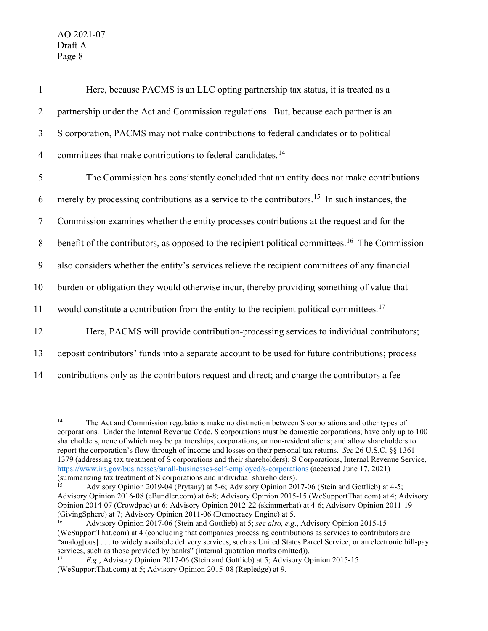| $\mathbf{1}$   | Here, because PACMS is an LLC opting partnership tax status, it is treated as a                             |
|----------------|-------------------------------------------------------------------------------------------------------------|
| $\overline{2}$ | partnership under the Act and Commission regulations. But, because each partner is an                       |
| $\mathfrak{Z}$ | S corporation, PACMS may not make contributions to federal candidates or to political                       |
| $\overline{4}$ | committees that make contributions to federal candidates. <sup>14</sup>                                     |
| $\mathfrak{S}$ | The Commission has consistently concluded that an entity does not make contributions                        |
| 6              | merely by processing contributions as a service to the contributors. <sup>15</sup> In such instances, the   |
| $\overline{7}$ | Commission examines whether the entity processes contributions at the request and for the                   |
| $8\,$          | benefit of the contributors, as opposed to the recipient political committees. <sup>16</sup> The Commission |
| 9              | also considers whether the entity's services relieve the recipient committees of any financial              |
| 10             | burden or obligation they would otherwise incur, thereby providing something of value that                  |
| 11             | would constitute a contribution from the entity to the recipient political committees. <sup>17</sup>        |
| 12             | Here, PACMS will provide contribution-processing services to individual contributors;                       |
| 13             | deposit contributors' funds into a separate account to be used for future contributions; process            |
| 14             | contributions only as the contributors request and direct; and charge the contributors a fee                |

<span id="page-8-0"></span><sup>&</sup>lt;sup>14</sup> The Act and Commission regulations make no distinction between S corporations and other types of corporations. Under the Internal Revenue Code, S corporations must be domestic corporations; have only up to 100 shareholders, none of which may be partnerships, corporations, or non-resident aliens; and allow shareholders to report the corporation's flow-through of income and losses on their personal tax returns. *See* 26 U.S.C. §§ 1361- 1379 (addressing tax treatment of S corporations and their shareholders); S Corporations, Internal Revenue Service, <https://www.irs.gov/businesses/small-businesses-self-employed/s-corporations> (accessed June 17, 2021) (summarizing tax treatment of S corporations and individual shareholders).

<span id="page-8-1"></span><sup>&</sup>lt;sup>15</sup> Advisory Opinion 2019-04 (Prytany) at 5-6; Advisory Opinion 2017-06 (Stein and Gottlieb) at 4-5; Advisory Opinion 2016-08 (eBundler.com) at 6-8; Advisory Opinion 2015-15 (WeSupportThat.com) at 4; Advisory Opinion 2014-07 (Crowdpac) at 6; Advisory Opinion 2012-22 (skimmerhat) at 4-6; Advisory Opinion 2011-19 (GivingSphere) at 7; Advisory Opinion 2011-06 (Democracy Engine) at 5.<br><sup>16</sup> Advisory Opinion 2017-06 (Stein and Gottlieb) at 5; *see also, e.g.*, Advisory Opinion 2015-15

<span id="page-8-2"></span><sup>(</sup>WeSupportThat.com) at 4 (concluding that companies processing contributions as services to contributors are "analog[ous] . . . to widely available delivery services, such as United States Parcel Service, or an electronic bill-pay services, such as those provided by banks" (internal quotation marks omitted)).<br> $\frac{17}{12}$  E.g., Advisory Opinion 2017.06 (Stein and Gottlieb) at 5: Advisory Op

<span id="page-8-3"></span><sup>17</sup> *E.g*., Advisory Opinion 2017-06 (Stein and Gottlieb) at 5; Advisory Opinion 2015-15 (WeSupportThat.com) at 5; Advisory Opinion 2015-08 (Repledge) at 9.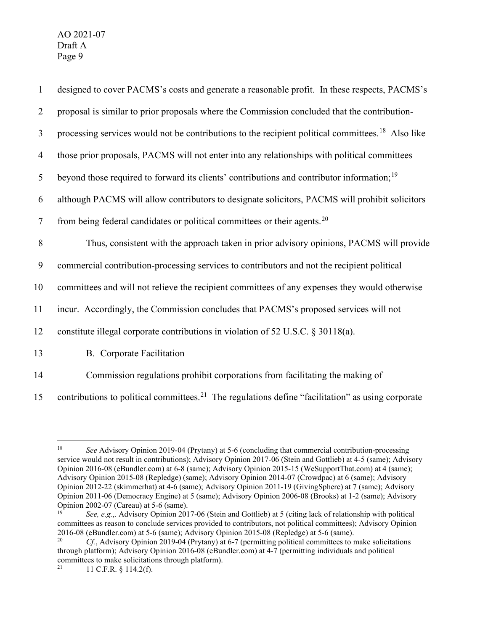| $\mathbf{1}$   | designed to cover PACMS's costs and generate a reasonable profit. In these respects, PACMS's                  |
|----------------|---------------------------------------------------------------------------------------------------------------|
| $\overline{2}$ | proposal is similar to prior proposals where the Commission concluded that the contribution-                  |
| $\mathfrak{Z}$ | processing services would not be contributions to the recipient political committees. <sup>18</sup> Also like |
| $\overline{4}$ | those prior proposals, PACMS will not enter into any relationships with political committees                  |
| 5              | beyond those required to forward its clients' contributions and contributor information; <sup>19</sup>        |
| 6              | although PACMS will allow contributors to designate solicitors, PACMS will prohibit solicitors                |
| $\tau$         | from being federal candidates or political committees or their agents. <sup>20</sup>                          |
| $\,8\,$        | Thus, consistent with the approach taken in prior advisory opinions, PACMS will provide                       |
| 9              | commercial contribution-processing services to contributors and not the recipient political                   |
|                |                                                                                                               |
| 10             | committees and will not relieve the recipient committees of any expenses they would otherwise                 |
| 11             | incur. Accordingly, the Commission concludes that PACMS's proposed services will not                          |
| 12             | constitute illegal corporate contributions in violation of 52 U.S.C. § 30118(a).                              |
| 13             | <b>B.</b> Corporate Facilitation                                                                              |

15 contributions to political committees.<sup>[21](#page-9-3)</sup> The regulations define "facilitation" as using corporate

<span id="page-9-0"></span><sup>18</sup> *See* Advisory Opinion 2019-04 (Prytany) at 5-6 (concluding that commercial contribution-processing service would not result in contributions); Advisory Opinion 2017-06 (Stein and Gottlieb) at 4-5 (same); Advisory Opinion 2016-08 (eBundler.com) at 6-8 (same); Advisory Opinion 2015-15 (WeSupportThat.com) at 4 (same); Advisory Opinion 2015-08 (Repledge) (same); Advisory Opinion 2014-07 (Crowdpac) at 6 (same); Advisory Opinion 2012-22 (skimmerhat) at 4-6 (same); Advisory Opinion 2011-19 (GivingSphere) at 7 (same); Advisory Opinion 2011-06 (Democracy Engine) at 5 (same); Advisory Opinion 2006-08 (Brooks) at 1-2 (same); Advisory Opinion 2002-07 (Careau) at 5-6 (same).

<span id="page-9-1"></span><sup>19</sup> *See, e.g.*,. Advisory Opinion 2017-06 (Stein and Gottlieb) at 5 (citing lack of relationship with political committees as reason to conclude services provided to contributors, not political committees); Advisory Opinion 2016-08 (eBundler.com) at 5-6 (same); Advisory Opinion 2015-08 (Repledge) at 5-6 (same). 20 *Cf.*, Advisory Opinion 2019-04 (Prytany) at 6-7 (permitting political committees to make solicitations

<span id="page-9-2"></span>through platform); Advisory Opinion 2016-08 (eBundler.com) at 4-7 (permitting individuals and political committees to make solicitations through platform).<br> $^{21}$  11 C E P  $_8$  114 2(f)

<span id="page-9-3"></span><sup>21</sup> 11 C.F.R. § 114.2(f).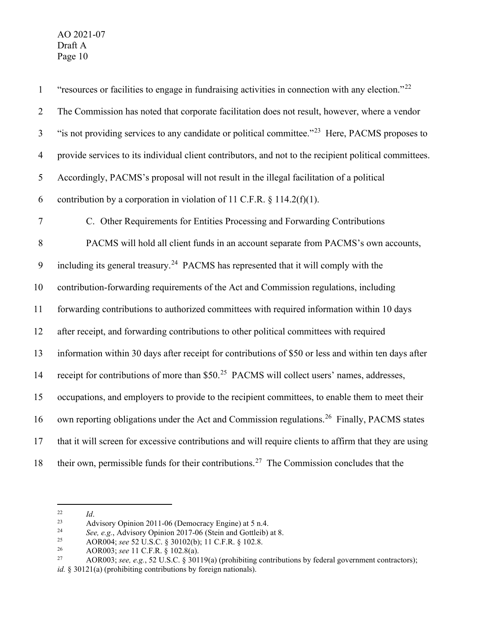| $\mathbf{1}$   | "resources or facilities to engage in fundraising activities in connection with any election." <sup>22</sup> |
|----------------|--------------------------------------------------------------------------------------------------------------|
| $\overline{2}$ | The Commission has noted that corporate facilitation does not result, however, where a vendor                |
| $\mathfrak{Z}$ | "is not providing services to any candidate or political committee." <sup>23</sup> Here, PACMS proposes to   |
| $\overline{4}$ | provide services to its individual client contributors, and not to the recipient political committees.       |
| 5              | Accordingly, PACMS's proposal will not result in the illegal facilitation of a political                     |
| 6              | contribution by a corporation in violation of 11 C.F.R. $\S$ 114.2(f)(1).                                    |
| $\tau$         | C. Other Requirements for Entities Processing and Forwarding Contributions                                   |
| 8              | PACMS will hold all client funds in an account separate from PACMS's own accounts,                           |
| 9              | including its general treasury. <sup>24</sup> PACMS has represented that it will comply with the             |
| 10             | contribution-forwarding requirements of the Act and Commission regulations, including                        |
| 11             | forwarding contributions to authorized committees with required information within 10 days                   |
| 12             | after receipt, and forwarding contributions to other political committees with required                      |
| 13             | information within 30 days after receipt for contributions of \$50 or less and within ten days after         |
| 14             | receipt for contributions of more than \$50. <sup>25</sup> PACMS will collect users' names, addresses,       |
| 15             | occupations, and employers to provide to the recipient committees, to enable them to meet their              |
| 16             | own reporting obligations under the Act and Commission regulations. <sup>26</sup> Finally, PACMS states      |
| 17             | that it will screen for excessive contributions and will require clients to affirm that they are using       |
| 18             | their own, permissible funds for their contributions. <sup>27</sup> The Commission concludes that the        |

<span id="page-10-0"></span><sup>&</sup>lt;sup>22</sup> *Id.* Advisory Opinion 2011-06 (Democracy Engine) at 5 n.4.

<span id="page-10-2"></span><span id="page-10-1"></span><sup>24</sup> See, e.g., Advisory Opinion 2017-06 (Stein and Gottleib) at 8.<br>AOR004: see 52 U.S.C. 8 30102(b): 11 C.F.R. 8 102 8.

<span id="page-10-3"></span><sup>&</sup>lt;sup>25</sup> AOR004; *see* 52 U.S.C. § 30102(b); 11 C.F.R. § 102.8.<br>AOR003; *see* 11 C.F.R. § 102.8(a).

<span id="page-10-5"></span><span id="page-10-4"></span><sup>&</sup>lt;sup>27</sup> AOR003; *see, e.g.*, 52 U.S.C. § 30119(a) (prohibiting contributions by federal government contractors);

*id.* § 30121(a) (prohibiting contributions by foreign nationals).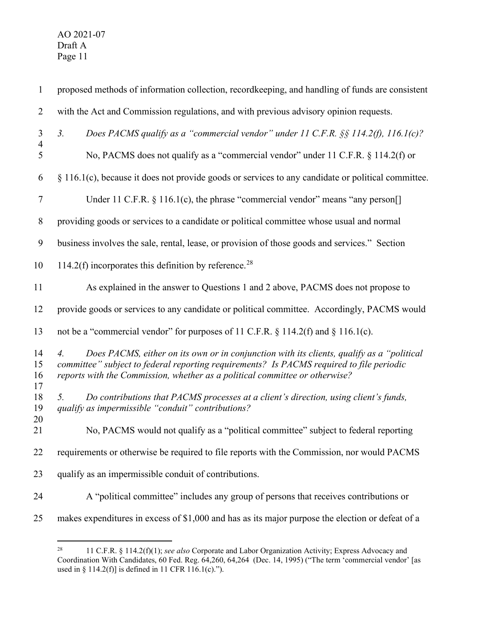| $\mathbf{1}$         | proposed methods of information collection, recordkeeping, and handling of funds are consistent                                                                                                                                                                                           |
|----------------------|-------------------------------------------------------------------------------------------------------------------------------------------------------------------------------------------------------------------------------------------------------------------------------------------|
| $\overline{2}$       | with the Act and Commission regulations, and with previous advisory opinion requests.                                                                                                                                                                                                     |
| 3                    | Does PACMS qualify as a "commercial vendor" under 11 C.F.R. $\S$ § 114.2(f), 116.1(c)?<br>3 <sub>1</sub>                                                                                                                                                                                  |
| $\overline{4}$<br>5  | No, PACMS does not qualify as a "commercial vendor" under 11 C.F.R. § 114.2(f) or                                                                                                                                                                                                         |
| 6                    | § 116.1(c), because it does not provide goods or services to any candidate or political committee.                                                                                                                                                                                        |
| $\tau$               | Under 11 C.F.R. § 116.1(c), the phrase "commercial vendor" means "any person[]                                                                                                                                                                                                            |
| $8\,$                | providing goods or services to a candidate or political committee whose usual and normal                                                                                                                                                                                                  |
| 9                    | business involves the sale, rental, lease, or provision of those goods and services." Section                                                                                                                                                                                             |
| 10                   | 114.2(f) incorporates this definition by reference. <sup>28</sup>                                                                                                                                                                                                                         |
| 11                   | As explained in the answer to Questions 1 and 2 above, PACMS does not propose to                                                                                                                                                                                                          |
| 12                   | provide goods or services to any candidate or political committee. Accordingly, PACMS would                                                                                                                                                                                               |
| 13                   | not be a "commercial vendor" for purposes of 11 C.F.R. § 114.2(f) and § 116.1(c).                                                                                                                                                                                                         |
| 14<br>15<br>16<br>17 | Does PACMS, either on its own or in conjunction with its clients, qualify as a "political"<br>$\overline{4}$ .<br>committee" subject to federal reporting requirements? Is PACMS required to file periodic<br>reports with the Commission, whether as a political committee or otherwise? |
| 18<br>19<br>20       | Do contributions that PACMS processes at a client's direction, using client's funds,<br>5.<br>qualify as impermissible "conduit" contributions?                                                                                                                                           |
| 21                   | No, PACMS would not qualify as a "political committee" subject to federal reporting                                                                                                                                                                                                       |
| 22                   | requirements or otherwise be required to file reports with the Commission, nor would PACMS                                                                                                                                                                                                |
| 23                   | qualify as an impermissible conduit of contributions.                                                                                                                                                                                                                                     |
| 24                   | A "political committee" includes any group of persons that receives contributions or                                                                                                                                                                                                      |
| 25                   | makes expenditures in excess of \$1,000 and has as its major purpose the election or defeat of a                                                                                                                                                                                          |

<span id="page-11-0"></span> 11 C.F.R. § 114.2(f)(1); *see also* Corporate and Labor Organization Activity; Express Advocacy and Coordination With Candidates, 60 Fed. Reg. 64,260, 64,264 (Dec. 14, 1995) ("The term 'commercial vendor' [as used in § 114.2(f)] is defined in 11 CFR 116.1(c).").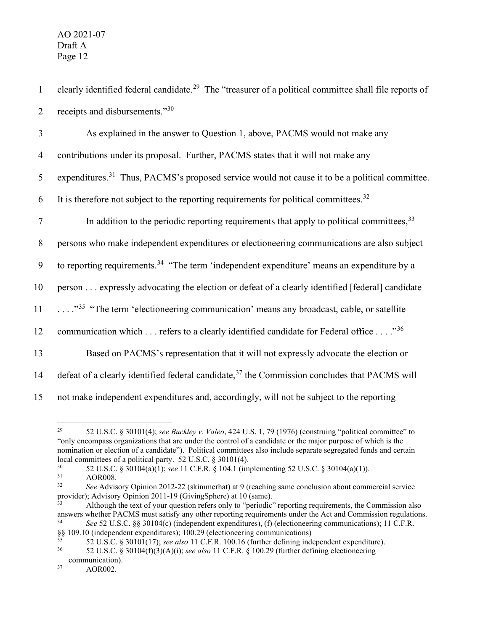1 clearly identified federal candidate.<sup>[29](#page-12-0)</sup> The "treasurer of a political committee shall file reports of 2 receipts and disbursements." $30$ 

| 3              | As explained in the answer to Question 1, above, PACMS would not make any                                   |
|----------------|-------------------------------------------------------------------------------------------------------------|
| $\overline{4}$ | contributions under its proposal. Further, PACMS states that it will not make any                           |
| 5              | expenditures. <sup>31</sup> Thus, PACMS's proposed service would not cause it to be a political committee.  |
| 6              | It is therefore not subject to the reporting requirements for political committees. <sup>32</sup>           |
| $\tau$         | In addition to the periodic reporting requirements that apply to political committees, 33                   |
| 8              | persons who make independent expenditures or electioneering communications are also subject                 |
| 9              | to reporting requirements. <sup>34</sup> "The term 'independent expenditure' means an expenditure by a      |
| 10             | person expressly advocating the election or defeat of a clearly identified [federal] candidate              |
| 11             | $\ldots$ ." <sup>35</sup> "The term 'electioneering communication' means any broadcast, cable, or satellite |
| 12             | communication which refers to a clearly identified candidate for Federal office "36                         |
| 13             | Based on PACMS's representation that it will not expressly advocate the election or                         |
| 14             | defeat of a clearly identified federal candidate, <sup>37</sup> the Commission concludes that PACMS will    |
| 15             | not make independent expenditures and, accordingly, will not be subject to the reporting                    |

<span id="page-12-0"></span><sup>29</sup> 52 U.S.C. § 30101(4); *see Buckley v. Valeo*, 424 U.S. 1, 79 (1976) (construing "political committee" to "only encompass organizations that are under the control of a candidate or the major purpose of which is the nomination or election of a candidate"). Political committees also include separate segregated funds and certain local committees of a political party. 52 U.S.C. § 30101(4).<br>30 52 U.S.C. § 20104(a)(1); see 11 C.E.B. § 104.1 (im

- <span id="page-12-2"></span> $31$  AOR008.<br> $32$  See Advis
- <span id="page-12-3"></span><sup>32</sup> *See* Advisory Opinion 2012-22 (skimmerhat) at 9 (reaching same conclusion about commercial service provider); Advisory Opinion 2011-19 (GivingSphere) at 10 (same).

<span id="page-12-1"></span><sup>30</sup> 52 U.S.C. § 30104(a)(1); *see* 11 C.F.R. § 104.1 (implementing 52 U.S.C. § 30104(a)(1)).

<span id="page-12-4"></span> $\frac{33}{33}$  Although the text of your question refers only to "periodic" reporting requirements, the Commission also answers whether PACMS must satisfy any other reporting requirements under the Act and Commission regulations.<br> $\frac{34}{200}$  S2 U S C  $\frac{8830104(c)}{1000}$  (independent expenditures) (f) (electioneering communications); 11 C <sup>34</sup> *See* 52 U.S.C. §§ 30104(c) (independent expenditures), (f) (electioneering communications); 11 C.F.R.

<span id="page-12-5"></span> $\S$ § 109.10 (independent expenditures); 100.29 (electioneering communications)<br>35 (2) II S  $C$  § 20101447

<span id="page-12-6"></span><sup>&</sup>lt;sup>35</sup> 52 U.S.C. § 30101(17); *see also* 11 C.F.R. 100.16 (further defining independent expenditure).<br><sup>36</sup> 52 U.S.C. § 30104(f)(3)(A)(i); see also 11 C.F.R. § 100.29 (further defining electioneering

<span id="page-12-7"></span><sup>36</sup> 52 U.S.C. § 30104(f)(3)(A)(i); *see also* 11 C.F.R. § 100.29 (further defining electioneering communication).

<span id="page-12-8"></span><sup>37</sup> AOR002.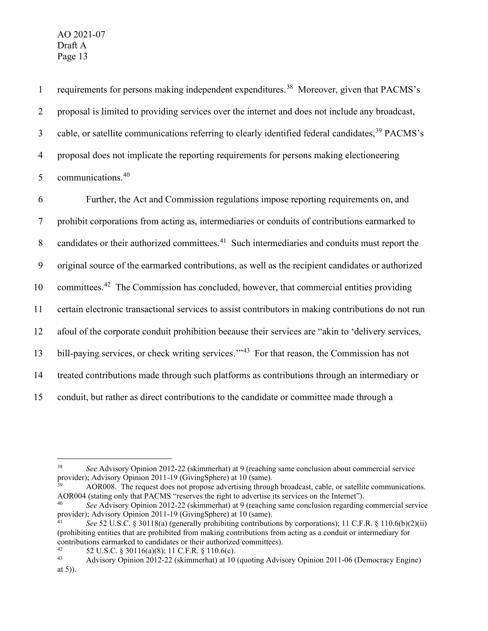1 requirements for persons making independent expenditures.<sup>[38](#page-13-0)</sup> Moreover, given that PACMS's 2 proposal is limited to providing services over the internet and does not include any broadcast, 3 cable, or satellite communications referring to clearly identified federal candidates,  $39$  PACMS's 4 proposal does not implicate the reporting requirements for persons making electioneering 5 communications.<sup>[40](#page-13-2)</sup> 6 Further, the Act and Commission regulations impose reporting requirements on, and 7 prohibit corporations from acting as, intermediaries or conduits of contributions earmarked to 8 candidates or their authorized committees.<sup>[41](#page-13-3)</sup> Such intermediaries and conduits must report the 9 original source of the earmarked contributions, as well as the recipient candidates or authorized 10 committees.<sup>[42](#page-13-4)</sup> The Commission has concluded, however, that commercial entities providing 11 certain electronic transactional services to assist contributors in making contributions do not run 12 afoul of the corporate conduit prohibition because their services are "akin to 'delivery services, 13 bill-paying services, or check writing services.<sup>'"[43](#page-13-5)</sup> For that reason, the Commission has not 14 treated contributions made through such platforms as contributions through an intermediary or 15 conduit, but rather as direct contributions to the candidate or committee made through a

<span id="page-13-1"></span>AOR008. The request does not propose advertising through broadcast, cable, or satellite communications. AOR004 (stating only that PACMS "reserves the right to advertise its services on the Internet").

<span id="page-13-0"></span><sup>38</sup> *See* Advisory Opinion 2012-22 (skimmerhat) at 9 (reaching same conclusion about commercial service provider); Advisory Opinion 2011-19 (GivingSphere) at 10 (same).

<span id="page-13-2"></span><sup>&</sup>lt;sup>40</sup> *See* Advisory Opinion 2012-22 (skimmerhat) at 9 (reaching same conclusion regarding commercial service provider); Advisory Opinion 2011-19 (GivingSphere) at 10 (same).

<span id="page-13-3"></span>See 52 U.S.C. § 30118(a) (generally prohibiting contributions by corporations); 11 C.F.R. § 110.6(b)(2)(ii) (prohibiting entities that are prohibited from making contributions from acting as a conduit or intermediary for contributions earmarked to candidates or their authorized committees).<br> $^{42}$  52 U S C  $\land$  30116(a)(8): 11 C E P  $\land$  110.6(c)

<span id="page-13-5"></span><span id="page-13-4"></span><sup>42 52</sup> U.S.C. § 30116(a)(8); 11 C.F.R. § 110.6(c).<br>
43 Advisory Opinion 2012-22 (skimmerhat) at 10 (quoting Advisory Opinion 2011-06 (Democracy Engine) at 5)).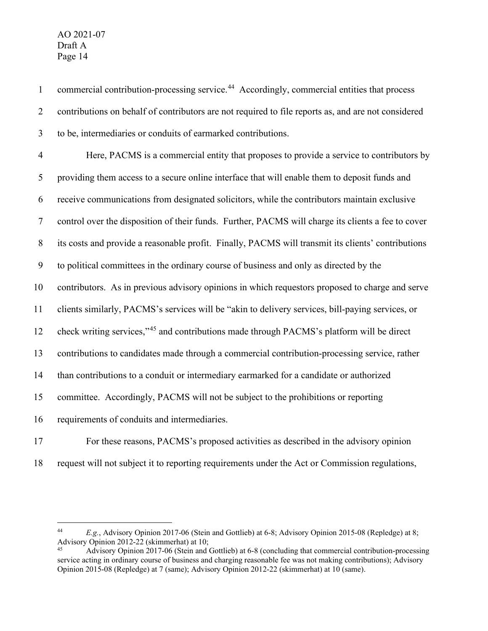contributions on behalf of contributors are not required to file reports as, and are not considered to be, intermediaries or conduits of earmarked contributions. Here, PACMS is a commercial entity that proposes to provide a service to contributors by providing them access to a secure online interface that will enable them to deposit funds and receive communications from designated solicitors, while the contributors maintain exclusive control over the disposition of their funds. Further, PACMS will charge its clients a fee to cover its costs and provide a reasonable profit. Finally, PACMS will transmit its clients' contributions to political committees in the ordinary course of business and only as directed by the contributors. As in previous advisory opinions in which requestors proposed to charge and serve clients similarly, PACMS's services will be "akin to delivery services, bill-paying services, or 12 check writing services,"<sup>[45](#page-14-1)</sup> and contributions made through PACMS's platform will be direct contributions to candidates made through a commercial contribution-processing service, rather than contributions to a conduit or intermediary earmarked for a candidate or authorized committee. Accordingly, PACMS will not be subject to the prohibitions or reporting requirements of conduits and intermediaries.

1 commercial contribution-processing service.<sup>[44](#page-14-0)</sup> Accordingly, commercial entities that process

For these reasons, PACMS's proposed activities as described in the advisory opinion

request will not subject it to reporting requirements under the Act or Commission regulations,

<span id="page-14-0"></span> *E.g.*, Advisory Opinion 2017-06 (Stein and Gottlieb) at 6-8; Advisory Opinion 2015-08 (Repledge) at 8; Advisory Opinion 2012-22 (skimmerhat) at 10;<br><sup>45</sup> Advisory Opinion 2017-06 (Stein and Gottlieb) at 6-8 (concluding that commercial contribution-processing

<span id="page-14-1"></span>service acting in ordinary course of business and charging reasonable fee was not making contributions); Advisory Opinion 2015-08 (Repledge) at 7 (same); Advisory Opinion 2012-22 (skimmerhat) at 10 (same).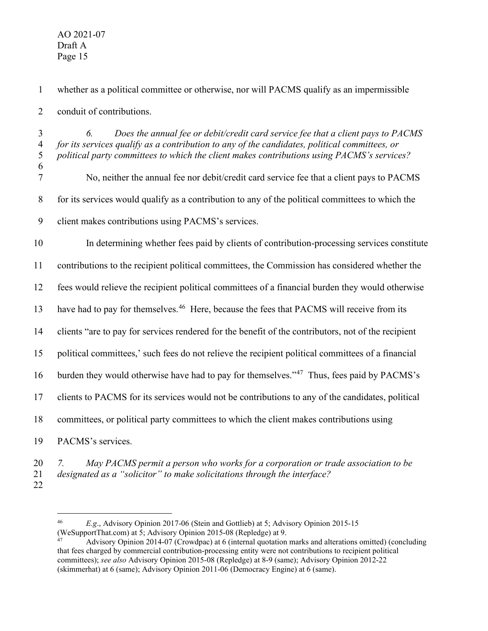whether as a political committee or otherwise, nor will PACMS qualify as an impermissible conduit of contributions.

 *6. Does the annual fee or debit/credit card service fee that a client pays to PACMS for its services qualify as a contribution to any of the candidates, political committees, or political party committees to which the client makes contributions using PACMS's services?* No, neither the annual fee nor debit/credit card service fee that a client pays to PACMS for its services would qualify as a contribution to any of the political committees to which the client makes contributions using PACMS's services.

In determining whether fees paid by clients of contribution-processing services constitute

contributions to the recipient political committees, the Commission has considered whether the

fees would relieve the recipient political committees of a financial burden they would otherwise

13 have had to pay for themselves.<sup>[46](#page-15-0)</sup> Here, because the fees that PACMS will receive from its

clients "are to pay for services rendered for the benefit of the contributors, not of the recipient

political committees,' such fees do not relieve the recipient political committees of a financial

burden they would otherwise have had to pay for themselves."<sup>47</sup> Thus, fees paid by PACMS's

clients to PACMS for its services would not be contributions to any of the candidates, political

committees, or political party committees to which the client makes contributions using

PACMS's services.

- *7. May PACMS permit a person who works for a corporation or trade association to be designated as a "solicitor" to make solicitations through the interface?*
- <span id="page-15-0"></span>

 *E.g*., Advisory Opinion 2017-06 (Stein and Gottlieb) at 5; Advisory Opinion 2015-15 (WeSupportThat.com) at 5; Advisory Opinion 2015-08 (Repledge) at 9.<br><sup>47</sup> Advisory Opinion 2014-07 (Crowdpac) at 6 (internal quotation marks and alterations omitted) (concluding

<span id="page-15-1"></span>that fees charged by commercial contribution-processing entity were not contributions to recipient political committees); *see also* Advisory Opinion 2015-08 (Repledge) at 8-9 (same); Advisory Opinion 2012-22 (skimmerhat) at 6 (same); Advisory Opinion 2011-06 (Democracy Engine) at 6 (same).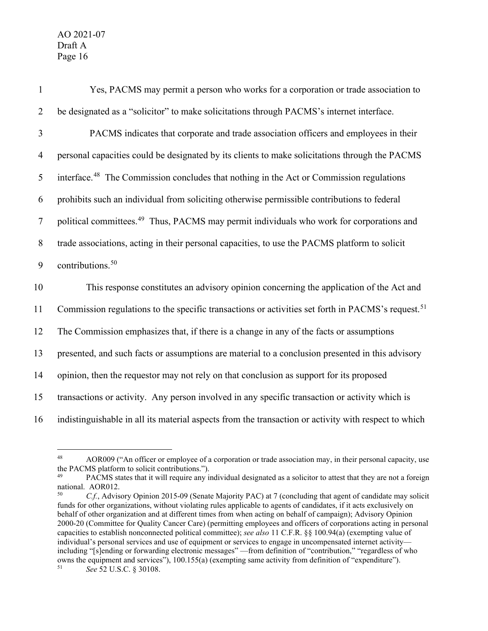Yes, PACMS may permit a person who works for a corporation or trade association to be designated as a "solicitor" to make solicitations through PACMS's internet interface. PACMS indicates that corporate and trade association officers and employees in their personal capacities could be designated by its clients to make solicitations through the PACMS 5 interface.<sup>[48](#page-16-0)</sup> The Commission concludes that nothing in the Act or Commission regulations prohibits such an individual from soliciting otherwise permissible contributions to federal 7 political committees.<sup>[49](#page-16-1)</sup> Thus, PACMS may permit individuals who work for corporations and trade associations, acting in their personal capacities, to use the PACMS platform to solicit 9 contributions.<sup>[50](#page-16-2)</sup> This response constitutes an advisory opinion concerning the application of the Act and 11 Commission regulations to the specific transactions or activities set forth in PACMS's request.<sup>[51](#page-16-3)</sup> The Commission emphasizes that, if there is a change in any of the facts or assumptions presented, and such facts or assumptions are material to a conclusion presented in this advisory opinion, then the requestor may not rely on that conclusion as support for its proposed transactions or activity. Any person involved in any specific transaction or activity which is indistinguishable in all its material aspects from the transaction or activity with respect to which

<span id="page-16-0"></span><sup>48</sup> AOR009 ("An officer or employee of a corporation or trade association may, in their personal capacity, use the PACMS platform to solicit contributions.").

<span id="page-16-1"></span>PACMS states that it will require any individual designated as a solicitor to attest that they are not a foreign national. AOR012.<br><sup>50</sup> *C.f.*, Advisory Opinion 2015-09 (Senate Majority PAC) at 7 (concluding that agent of candidate may solicit

<span id="page-16-3"></span><span id="page-16-2"></span>funds for other organizations, without violating rules applicable to agents of candidates, if it acts exclusively on behalf of other organization and at different times from when acting on behalf of campaign); Advisory Opinion 2000-20 (Committee for Quality Cancer Care) (permitting employees and officers of corporations acting in personal capacities to establish nonconnected political committee); *see also* 11 C.F.R. §§ 100.94(a) (exempting value of individual's personal services and use of equipment or services to engage in uncompensated internet activity including "[s]ending or forwarding electronic messages" —from definition of "contribution," "regardless of who owns the equipment and services"), 100.155(a) (exempting same activity from definition of "expenditure"). <sup>51</sup> *See* 52 U.S.C. § 30108.